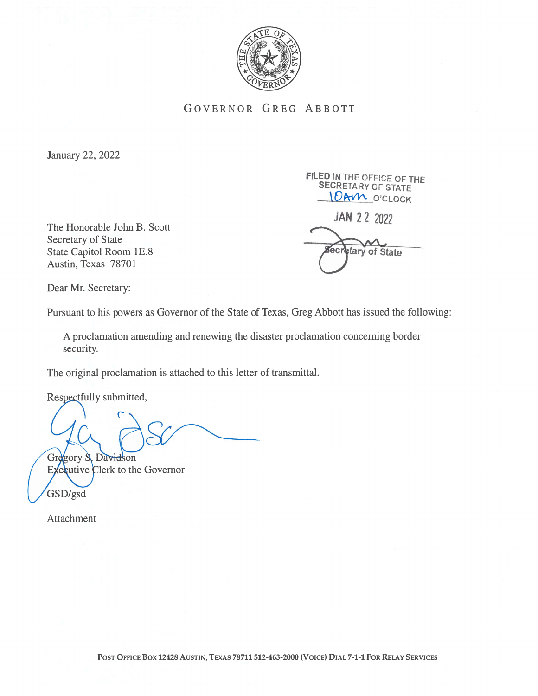

GOVERNOR GREG ABBOTT

January 22, 2022

The Honorable John B. Scott Secretary of State State Capitol Room 1E.8 Austin, Texas 78701

FILED IN THE OFFICE OF THE SECRETARY OF STATE 10AM O'CLOCK

JAN22 <sup>2022</sup>

tary of State

Dear Mr. Secretary:

Pursuant to his powers as Governor of the State of Texas, Greg Abbott has issued the following:

A proclamation amending and renewing the disaster proclamation concerning border security.

The original proclamation is attached to this letter of transmittal.

Respectfully submitted,

Gregory S. Davidson

Executive Clerk to the Governor GSD/gsd

Attachment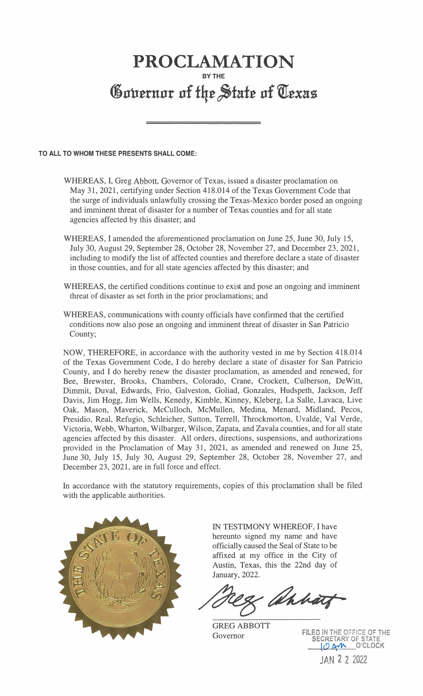## PROCLAMATION BY THE Governor of the State of Texas

## TO ALL TO WHOM THESE PRESENTS SHALL COME:

- WHEREAS, I, Greg Abbott, Governor of Texas, issued a disaster proclamation on May 31, 2021, certifying under Section 418.014 of the Texas Government Code that the surge of individuals unlawfully crossing the Texas-Mexico border posed an ongoing and imminent threat of disaster for a number of Texas counties and for all state agencies affected by this disaster; and
- WHEREAS, I amended the aforementioned proclamation on June 25, June 30, July 15, July 30, August 29, September 28, October 28, November 27, and December 23, 2021, including to modify the list of affected counties and therefore declare a state of disaster in those counties, and for all state agencies affected by this disaster; and
- WHEREAS, the certified conditions continue to exist and pose an ongoing and imminent threat of disaster as set forth in the prior proclamations; and
- WHEREAS, communications with county officials have confirmed that the certified conditions now also pose an ongoing and imminent threat of disaster in San Patricio County;

NOW, THEREFORE, in accordance with the authority vested in me by Section 418.014 of the Texas Government Code, I do hereby declare a state of disaster for San Patricio County, and I do hereby renew the disaster proclamation, as amended and renewed, for Bee, Brewster, Brooks, Chambers, Colorado, Crane, Crockett, Culberson, DeWitt, Dimmit, Duval, Edwards, Frio, Galveston, Goliad, Gonzales, Hudspeth, Jackson, Jeff Davis, Jim Hogg, Jim Wells, Kenedy, Kimble, Kinney, Kleberg, La Salle, Lavaca, Live Oak, Mason, Maverick, McCulloch, McMullen, Medina, Menard, Midland, Pecos, Presidio, Real, Refugio, Schleicher, Sutton, Terrell, Throckmorton, Uvalde, Val Verde, Victoria, Webb, Wharton, Wilbarger, Wilson, Zapata, and Zavala counties, and for all state agencies affected by this disaster. All orders, directions, suspensions, and authorizations provided in the Proclamation of May 31, 2021, as amended and renewed on June 25, June 30, July 15, July 30, August 29, September 28, October 28, November 27, and December 23, 2021, are in full force and effect.

In accordance with the statutory requirements, copies of this proclamation shall be filed with the applicable authorities.



IN TESTIMONY WHEREOF, I have hereunto signed my name and have officially caused the Seal of State to be affixed at my office in the City of Austin, Texas, this the 22nd day of January, 2022.

& ahhart

GREG ABBOTT Governor

FILED IN THE OFFICE OF THE SECRETARY OF STATE LOAM O'CLOCK JAN 2 2 2022